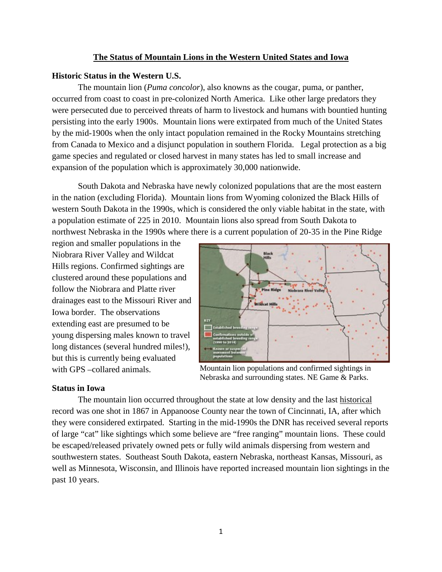## **The Status of Mountain Lions in the Western United States and Iowa**

# **Historic Status in the Western U.S.**

The mountain lion (*Puma concolor*), also knowns as the cougar, puma, or panther, occurred from coast to coast in pre-colonized North America. Like other large predators they were persecuted due to perceived threats of harm to livestock and humans with bountied hunting persisting into the early 1900s. Mountain lions were extirpated from much of the United States by the mid-1900s when the only intact population remained in the Rocky Mountains stretching from Canada to Mexico and a disjunct population in southern Florida. Legal protection as a big game species and regulated or closed harvest in many states has led to small increase and expansion of the population which is approximately 30,000 nationwide.

South Dakota and Nebraska have newly colonized populations that are the most eastern in the nation (excluding Florida). Mountain lions from Wyoming colonized the Black Hills of western South Dakota in the 1990s, which is considered the only viable habitat in the state, with a population estimate of 225 in 2010. Mountain lions also spread from South Dakota to northwest Nebraska in the 1990s where there is a current population of 20-35 in the Pine Ridge

region and smaller populations in the Niobrara River Valley and Wildcat Hills regions. Confirmed sightings are clustered around these populations and follow the Niobrara and Platte river drainages east to the Missouri River and Iowa border. The observations extending east are presumed to be young dispersing males known to travel long distances (several hundred miles!), but this is currently being evaluated with GPS –collared animals.



Mountain lion populations and confirmed sightings in Nebraska and surrounding states. NE Game & Parks.

### **Status in Iowa**

The mountain lion occurred throughout the state at low density and the last historical record was one shot in 1867 in Appanoose County near the town of Cincinnati, IA, after which they were considered extirpated. Starting in the mid-1990s the DNR has received several reports of large "cat" like sightings which some believe are "free ranging" mountain lions. These could be escaped/released privately owned pets or fully wild animals dispersing from western and southwestern states. Southeast South Dakota, eastern Nebraska, northeast Kansas, Missouri, as well as Minnesota, Wisconsin, and Illinois have reported increased mountain lion sightings in the past 10 years.